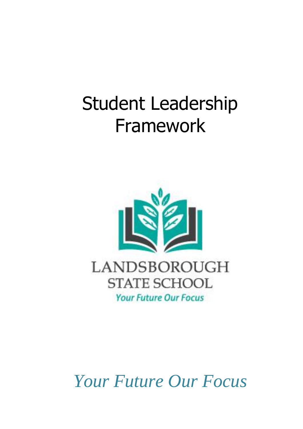# Student Leadership Framework



*Your Future Our Focus*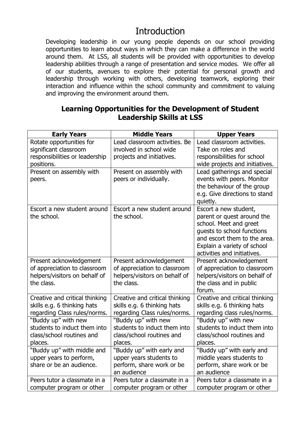## Introduction

Developing leadership in our young people depends on our school providing opportunities to learn about ways in which they can make a difference in the world around them. At LSS, all students will be provided with opportunities to develop leadership abilities through a range of presentation and service modes. We offer all of our students, avenues to explore their potential for personal growth and leadership through working with others, developing teamwork, exploring their interaction and influence within the school community and commitment to valuing and improving the environment around them.

#### **Learning Opportunities for the Development of Student Leadership Skills at LSS**

| <b>Early Years</b>                                            | <b>Middle Years</b>                                           | <b>Upper Years</b>                                            |
|---------------------------------------------------------------|---------------------------------------------------------------|---------------------------------------------------------------|
| Rotate opportunities for                                      | Lead classroom activities. Be                                 | Lead classroom activities.                                    |
| significant classroom                                         | involved in school wide                                       | Take on roles and                                             |
| responsibilities or leadership                                | projects and initiatives.                                     | responsibilities for school                                   |
| positions.                                                    |                                                               | wide projects and initiatives.                                |
| Present on assembly with                                      | Present on assembly with                                      | Lead gatherings and special                                   |
| peers.                                                        | peers or individually.                                        | events with peers. Monitor                                    |
|                                                               |                                                               | the behaviour of the group                                    |
|                                                               |                                                               | e.g. Give directions to stand                                 |
|                                                               |                                                               | quietly.                                                      |
| Escort a new student around                                   | Escort a new student around                                   | Escort a new student,                                         |
| the school.                                                   | the school.                                                   | parent or quest around the                                    |
|                                                               |                                                               | school. Meet and greet                                        |
|                                                               |                                                               | quests to school functions                                    |
|                                                               |                                                               | and escort them to the area.                                  |
|                                                               |                                                               | Explain a variety of school                                   |
|                                                               |                                                               | activities and initiatives.                                   |
| Present acknowledgement                                       | Present acknowledgement                                       | Present acknowledgement                                       |
| of appreciation to classroom<br>helpers/visitors on behalf of | of appreciation to classroom<br>helpers/visitors on behalf of | of appreciation to classroom<br>helpers/visitors on behalf of |
| the class.                                                    | the class.                                                    | the class and in public                                       |
|                                                               |                                                               | forum.                                                        |
| Creative and critical thinking                                | Creative and critical thinking                                | Creative and critical thinking                                |
| skills e.g. 6 thinking hats                                   | skills e.g. 6 thinking hats                                   | skills e.g. 6 thinking hats                                   |
| regarding Class rules/norms.                                  | regarding Class rules/norms.                                  | regarding class rules/norms.                                  |
| "Buddy up" with new                                           | "Buddy up" with new                                           | "Buddy up" with new                                           |
| students to induct them into                                  | students to induct them into                                  | students to induct them into                                  |
| class/school routines and                                     | class/school routines and                                     | class/school routines and                                     |
| places.                                                       | places.                                                       | places.                                                       |
| "Buddy up" with middle and                                    | "Buddy up" with early and                                     | "Buddy up" with early and                                     |
| upper years to perform,                                       | upper years students to                                       | middle years students to                                      |
| share or be an audience.                                      | perform, share work or be                                     | perform, share work or be                                     |
|                                                               | an audience                                                   | an audience                                                   |
| Peers tutor a classmate in a                                  | Peers tutor a classmate in a                                  | Peers tutor a classmate in a                                  |
| computer program or other                                     | computer program or other                                     | computer program or other                                     |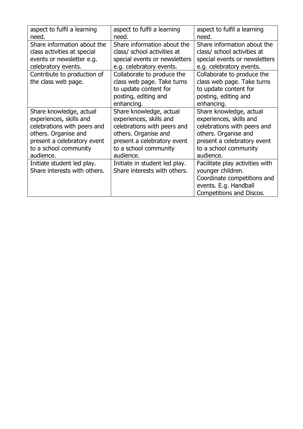| aspect to fulfil a learning  | aspect to fulfil a learning   | aspect to fulfil a learning     |
|------------------------------|-------------------------------|---------------------------------|
| need.                        | need.                         | need.                           |
| Share information about the  | Share information about the   | Share information about the     |
| class activities at special  | class/ school activities at   | class/ school activities at     |
| events or newsletter e.g.    | special events or newsletters | special events or newsletters   |
| celebratory events.          | e.g. celebratory events.      | e.g. celebratory events.        |
| Contribute to production of  | Collaborate to produce the    | Collaborate to produce the      |
| the class web page.          | class web page. Take turns    | class web page. Take turns      |
|                              | to update content for         | to update content for           |
|                              | posting, editing and          | posting, editing and            |
|                              | enhancing.                    | enhancing.                      |
| Share knowledge, actual      | Share knowledge, actual       | Share knowledge, actual         |
| experiences, skills and      | experiences, skills and       | experiences, skills and         |
| celebrations with peers and  | celebrations with peers and   | celebrations with peers and     |
| others. Organise and         | others. Organise and          | others. Organise and            |
| present a celebratory event  | present a celebratory event   | present a celebratory event     |
| to a school community        | to a school community         | to a school community           |
| audience.                    | audience.                     | audience.                       |
| Initiate student led play.   | Initiate in student led play. | Facilitate play activities with |
| Share interests with others. | Share interests with others.  | younger children.               |
|                              |                               | Coordinate competitions and     |
|                              |                               | events. E.g. Handball           |
|                              |                               | Competitions and Discos.        |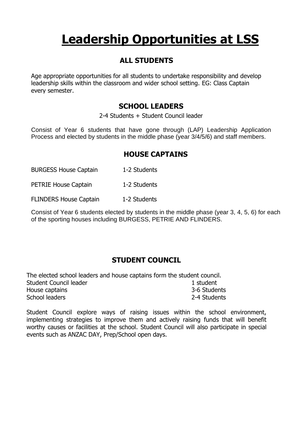## **Leadership Opportunities at LSS**

#### **ALL STUDENTS**

Age appropriate opportunities for all students to undertake responsibility and develop leadership skills within the classroom and wider school setting. EG: Class Captain every semester.

#### **SCHOOL LEADERS**

2-4 Students + Student Council leader

Consist of Year 6 students that have gone through (LAP) Leadership Application Process and elected by students in the middle phase (year 3/4/5/6) and staff members.

#### **HOUSE CAPTAINS**

BURGESS House Captain 1-2 Students

PETRIE House Captain 1-2 Students

FLINDERS House Captain 1-2 Students

Consist of Year 6 students elected by students in the middle phase (year 3, 4, 5, 6) for each of the sporting houses including BURGESS, PETRIE AND FLINDERS.

#### **STUDENT COUNCIL**

The elected school leaders and house captains form the student council. Student Council leader 1 student 1 student House captains 3-6 Students School leaders 2-4 Students

Student Council explore ways of raising issues within the school environment, implementing strategies to improve them and actively raising funds that will benefit worthy causes or facilities at the school. Student Council will also participate in special events such as ANZAC DAY, Prep/School open days.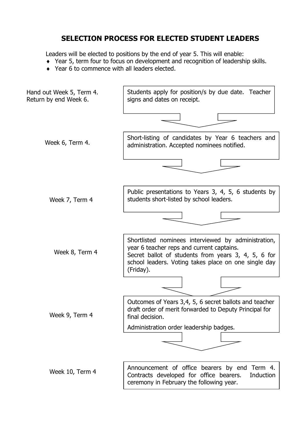#### **SELECTION PROCESS FOR ELECTED STUDENT LEADERS**

Leaders will be elected to positions by the end of year 5. This will enable:

- Year 5, term four to focus on development and recognition of leadership skills.
- ◆ Year 6 to commence with all leaders elected.

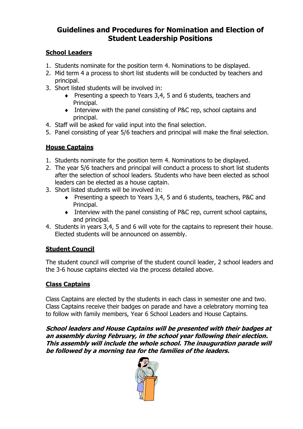#### **Guidelines and Procedures for Nomination and Election of Student Leadership Positions**

#### **School Leaders**

- 1. Students nominate for the position term 4. Nominations to be displayed.
- 2. Mid term 4 a process to short list students will be conducted by teachers and principal.
- 3. Short listed students will be involved in:
	- Presenting a speech to Years 3,4, 5 and 6 students, teachers and Principal.
	- Interview with the panel consisting of P&C rep, school captains and principal.
- 4. Staff will be asked for valid input into the final selection.
- 5. Panel consisting of year 5/6 teachers and principal will make the final selection.

#### **House Captains**

- 1. Students nominate for the position term 4. Nominations to be displayed.
- 2. The year 5/6 teachers and principal will conduct a process to short list students after the selection of school leaders. Students who have been elected as school leaders can be elected as a house captain.
- 3. Short listed students will be involved in:
	- ◆ Presenting a speech to Years 3,4, 5 and 6 students, teachers, P&C and Principal.
	- Interview with the panel consisting of P&C rep, current school captains, and principal.
- 4. Students in years 3,4, 5 and 6 will vote for the captains to represent their house. Elected students will be announced on assembly.

#### **Student Council**

The student council will comprise of the student council leader, 2 school leaders and the 3-6 house captains elected via the process detailed above.

#### **Class Captains**

Class Captains are elected by the students in each class in semester one and two. Class Captains receive their badges on parade and have a celebratory morning tea to follow with family members, Year 6 School Leaders and House Captains.

**School leaders and House Captains will be presented with their badges at an assembly during February, in the school year following their election. This assembly will include the whole school. The inauguration parade will be followed by a morning tea for the families of the leaders.** 

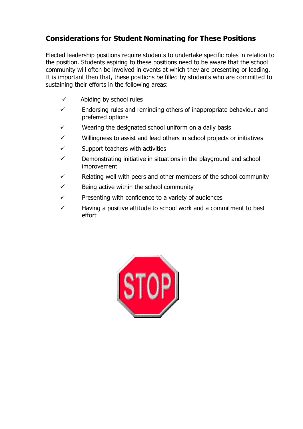#### **Considerations for Student Nominating for These Positions**

Elected leadership positions require students to undertake specific roles in relation to the position. Students aspiring to these positions need to be aware that the school community will often be involved in events at which they are presenting or leading. It is important then that, these positions be filled by students who are committed to sustaining their efforts in the following areas:

- $\checkmark$  Abiding by school rules
- $\checkmark$  Endorsing rules and reminding others of inappropriate behaviour and preferred options
- $\checkmark$  Wearing the designated school uniform on a daily basis
- ✓ Willingness to assist and lead others in school projects or initiatives
- $\checkmark$  Support teachers with activities
- $\checkmark$  Demonstrating initiative in situations in the playground and school improvement
- $\checkmark$  Relating well with peers and other members of the school community
- $\checkmark$  Being active within the school community
- $\checkmark$  Presenting with confidence to a variety of audiences
- $\checkmark$  Having a positive attitude to school work and a commitment to best effort

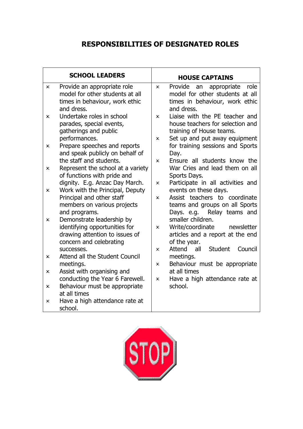#### **RESPONSIBILITIES OF DESIGNATED ROLES**

| <b>SCHOOL LEADERS</b> |                                                                                                                         | <b>HOUSE CAPTAINS</b>     |                                                                                                                                 |  |
|-----------------------|-------------------------------------------------------------------------------------------------------------------------|---------------------------|---------------------------------------------------------------------------------------------------------------------------------|--|
| ×.                    | Provide an appropriate role<br>model for other students at all<br>times in behaviour, work ethic<br>and dress.          | x                         | Provide an appropriate<br>role<br>model for other students at all<br>times in behaviour, work ethic<br>and dress.               |  |
| x                     | Undertake roles in school<br>parades, special events,<br>gatherings and public<br>performances.                         | x<br>×                    | Liaise with the PE teacher and<br>house teachers for selection and<br>training of House teams.<br>Set up and put away equipment |  |
| ×.                    | Prepare speeches and reports<br>and speak publicly on behalf of<br>the staff and students.                              | $\boldsymbol{\mathsf{x}}$ | for training sessions and Sports<br>Day.<br>Ensure all students know the                                                        |  |
| x                     | Represent the school at a variety<br>of functions with pride and                                                        |                           | War Cries and lead them on all<br>Sports Days.                                                                                  |  |
| x                     | dignity. E.g. Anzac Day March.<br>Work with the Principal, Deputy<br>Principal and other staff                          | x<br>$\mathbf x$          | Participate in all activities and<br>events on these days.<br>Assist teachers to coordinate                                     |  |
|                       | members on various projects<br>and programs.                                                                            |                           | teams and groups on all Sports<br>Relay teams and<br>Days. e.g.                                                                 |  |
| x.                    | Demonstrate leadership by<br>identifying opportunities for<br>drawing attention to issues of<br>concern and celebrating | x                         | smaller children.<br>Write/coordinate newsletter<br>articles and a report at the end<br>of the year.                            |  |
| x                     | successes.<br>Attend all the Student Council                                                                            | x                         | Student<br>all<br>Attend<br>Council<br>meetings.                                                                                |  |
| x                     | meetings.<br>Assist with organising and<br>conducting the Year 6 Farewell.                                              | x<br>×                    | Behaviour must be appropriate<br>at all times<br>Have a high attendance rate at                                                 |  |
| x                     | Behaviour must be appropriate<br>at all times                                                                           |                           | school.                                                                                                                         |  |
| x                     | Have a high attendance rate at<br>school.                                                                               |                           |                                                                                                                                 |  |

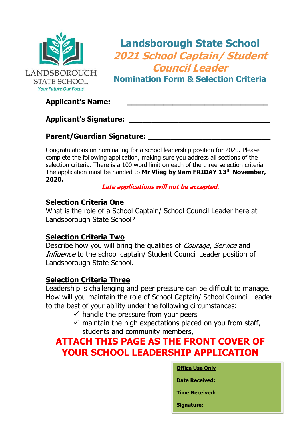

## **Landsborough State School 2021 School Captain/ Student Council Leader**

**Nomination Form & Selection Criteria**

#### **Applicant's Name: \_\_\_\_\_\_\_\_\_\_\_\_\_\_\_\_\_\_\_\_\_\_\_\_\_\_\_\_\_\_\_**

#### **Applicant's Signature: \_\_\_\_\_\_\_\_\_\_\_\_\_\_\_\_\_\_\_\_\_\_\_\_\_\_\_\_\_\_\_**

#### **Parent/Guardian Signature: \_\_\_\_\_\_\_\_\_\_\_\_\_\_\_\_\_\_\_\_\_\_\_\_\_\_\_**

Congratulations on nominating for a school leadership position for 2020. Please complete the following application, making sure you address all sections of the selection criteria. There is a 100 word limit on each of the three selection criteria. The application must be handed to **Mr Vlieg by 9am FRIDAY 13 th November, 2020.** 

**Late applications will not be accepted.**

#### **Selection Criteria One**

What is the role of a School Captain/ School Council Leader here at Landsborough State School?

#### **Selection Criteria Two**

Describe how you will bring the qualities of *Courage, Service* and Influence to the school captain/ Student Council Leader position of Landsborough State School.

#### **Selection Criteria Three**

Leadership is challenging and peer pressure can be difficult to manage. How will you maintain the role of School Captain/ School Council Leader to the best of your ability under the following circumstances:

- $\checkmark$  handle the pressure from your peers
- $\checkmark$  maintain the high expectations placed on you from staff, students and community members,

## **ATTACH THIS PAGE AS THE FRONT COVER OF YOUR SCHOOL LEADERSHIP APPLICATION**

#### **Office Use Only**

**Date Received:**

**Time Received:**

**Signature:**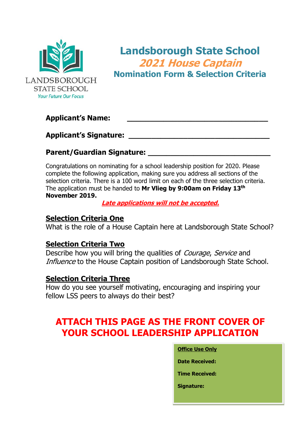

**Landsborough State School 2021 House Captain Nomination Form & Selection Criteria**

#### **Applicant's Name: \_\_\_\_\_\_\_\_\_\_\_\_\_\_\_\_\_\_\_\_\_\_\_\_\_\_\_\_\_\_\_**

**Applicant's Signature: \_\_\_\_\_\_\_\_\_\_\_\_\_\_\_\_\_\_\_\_\_\_\_\_\_\_\_\_\_\_\_**

#### **Parent/Guardian Signature: \_\_\_\_\_\_\_\_\_\_\_\_\_\_\_\_\_\_\_\_\_\_\_\_\_\_\_**

Congratulations on nominating for a school leadership position for 2020. Please complete the following application, making sure you address all sections of the selection criteria. There is a 100 word limit on each of the three selection criteria. The application must be handed to **Mr Vlieg by 9:00am on Friday 13 th November 2019.**

**Late applications will not be accepted.**

#### **Selection Criteria One**

What is the role of a House Captain here at Landsborough State School?

#### **Selection Criteria Two**

Describe how you will bring the qualities of *Courage, Service* and Influence to the House Captain position of Landsborough State School.

#### **Selection Criteria Three**

How do you see yourself motivating, encouraging and inspiring your fellow LSS peers to always do their best?

## **ATTACH THIS PAGE AS THE FRONT COVER OF YOUR SCHOOL LEADERSHIP APPLICATION**

### **Office Use Only Date Received: Time Received: Signature:**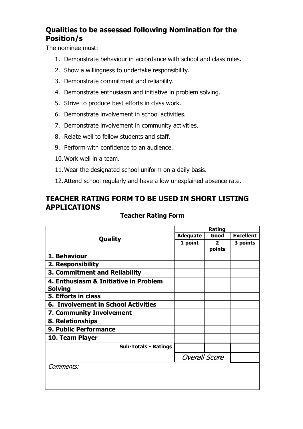#### **Qualities to be assessed following Nomination for the Position/s**

The nominee must:

- 1. Demonstrate behaviour in accordance with school and class rules.
- 2. Show a willingness to undertake responsibility.
- 3. Demonstrate commitment and reliability.
- 4. Demonstrate enthusiasm and initiative in problem solving.
- 5. Strive to produce best efforts in class work.
- 6. Demonstrate involvement in school activities.
- 7. Demonstrate involvement in community activities.
- 8. Relate well to fellow students and staff.
- 9. Perform with confidence to an audience.
- 10.Work well in a team.
- 11.Wear the designated school uniform on a daily basis.
- 12.Attend school regularly and have a low unexplained absence rate.

#### **TEACHER RATING FORM TO BE USED IN SHORT LISTING APPLICATIONS**

#### **Teacher Rating Form**

| <b>Quality</b>                                          | Rating               |                          |                  |
|---------------------------------------------------------|----------------------|--------------------------|------------------|
|                                                         | <b>Adequate</b>      | Good                     | <b>Excellent</b> |
|                                                         | 1 point              | $\overline{2}$<br>points | 3 points         |
| 1. Behaviour                                            |                      |                          |                  |
| 2. Responsibility                                       |                      |                          |                  |
| 3. Commitment and Reliability                           |                      |                          |                  |
| 4. Enthusiasm & Initiative in Problem<br><b>Solving</b> |                      |                          |                  |
| 5. Efforts in class                                     |                      |                          |                  |
| <b>6. Involvement in School Activities</b>              |                      |                          |                  |
| 7. Community Involvement                                |                      |                          |                  |
| 8. Relationships                                        |                      |                          |                  |
| 9. Public Performance                                   |                      |                          |                  |
| 10. Team Player                                         |                      |                          |                  |
| <b>Sub-Totals - Ratings</b>                             |                      |                          |                  |
|                                                         | <b>Overall Score</b> |                          |                  |
| <i>Comments:</i>                                        |                      |                          |                  |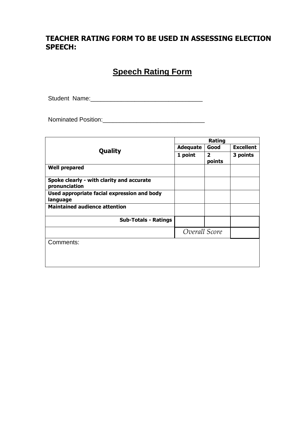#### **TEACHER RATING FORM TO BE USED IN ASSESSING ELECTION SPEECH:**

#### **Speech Rating Form**

Student Name:\_\_\_\_\_\_\_\_\_\_\_\_\_\_\_\_\_\_\_\_\_\_\_\_\_\_\_\_\_\_\_\_\_

Nominated Position:

|                                                            | Rating          |                          |                  |
|------------------------------------------------------------|-----------------|--------------------------|------------------|
| Quality                                                    | <b>Adequate</b> | Good                     | <b>Excellent</b> |
|                                                            | 1 point         | $\overline{2}$<br>points | 3 points         |
| <b>Well prepared</b>                                       |                 |                          |                  |
| Spoke clearly - with clarity and accurate<br>pronunciation |                 |                          |                  |
| Used appropriate facial expression and body<br>language    |                 |                          |                  |
| <b>Maintained audience attention</b>                       |                 |                          |                  |
| <b>Sub-Totals - Ratings</b>                                |                 |                          |                  |
|                                                            | Overall Score   |                          |                  |
| Comments:                                                  |                 |                          |                  |
|                                                            |                 |                          |                  |